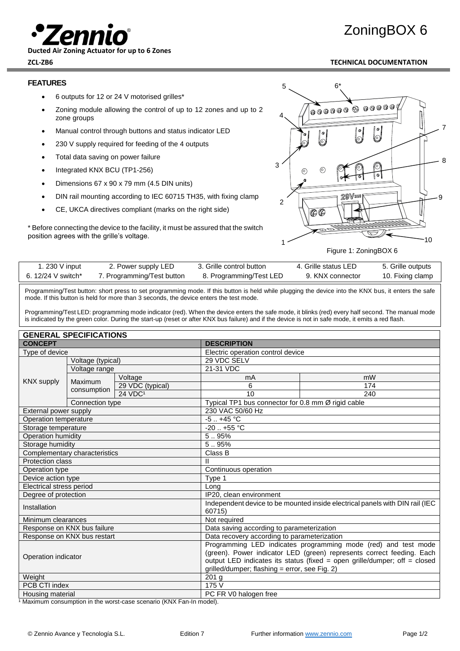

**Ducted Air Zoning Actuator for up to 6 Zones**

# ZoningBOX 6

### **ZCL-ZB6 TECHNICAL DOCUMENTATION**

#### **FEATURES**

- 6 outputs for 12 or 24 V motorised grilles\*
- Zoning module allowing the control of up to 12 zones and up to 2 zone groups
- Manual control through buttons and status indicator LED
- 230 V supply required for feeding of the 4 outputs
- Total data saving on power failure
- Integrated KNX BCU (TP1-256)
- Dimensions 67 x 90 x 79 mm (4.5 DIN units)
- DIN rail mounting according to IEC 60715 TH35, with fixing clamp
- CE, UKCA directives compliant (marks on the right side)

\* Before connecting the device to the facility, it must be assured that the switch position agrees with the grille's voltage.



Figure 1: ZoningBOX 6

| 230 V input        | 2. Power supply LED        | 3. Grille control button | 4. Grille status LED | 5. Grille outputs |
|--------------------|----------------------------|--------------------------|----------------------|-------------------|
| 6. 12/24 V switch* | 7. Programming/Test button | 8. Programming/Test LED  | 9. KNX connector     | 10. Fixing clamp  |

Programming/Test button: short press to set programming mode. If this button is held while plugging the device into the KNX bus, it enters the safe mode. If this button is held for more than 3 seconds, the device enters the test mode.

Programming/Test LED: programming mode indicator (red). When the device enters the safe mode, it blinks (red) every half second. The manual mode is indicated by the green color. During the start-up (reset or after KNX bus failure) and if the device is not in safe mode, it emits a red flash.

| <b>GENERAL SPECIFICATIONS</b>   |                             |                                                                                                                                                                                                                                                                       |                                             |                                                    |  |
|---------------------------------|-----------------------------|-----------------------------------------------------------------------------------------------------------------------------------------------------------------------------------------------------------------------------------------------------------------------|---------------------------------------------|----------------------------------------------------|--|
| <b>CONCEPT</b>                  |                             | <b>DESCRIPTION</b>                                                                                                                                                                                                                                                    |                                             |                                                    |  |
| Type of device                  |                             |                                                                                                                                                                                                                                                                       | Electric operation control device           |                                                    |  |
| Voltage (typical)               |                             |                                                                                                                                                                                                                                                                       | 29 VDC SELV                                 |                                                    |  |
| <b>KNX</b> supply               | Voltage range               |                                                                                                                                                                                                                                                                       | 21-31 VDC                                   |                                                    |  |
|                                 | Maximum                     | Voltage                                                                                                                                                                                                                                                               | mW<br>mA                                    |                                                    |  |
|                                 |                             | 29 VDC (typical)                                                                                                                                                                                                                                                      | 6                                           | 174                                                |  |
|                                 | consumption                 | 24 VDC <sup>1</sup>                                                                                                                                                                                                                                                   | 10                                          | 240                                                |  |
|                                 | Connection type             |                                                                                                                                                                                                                                                                       |                                             | Typical TP1 bus connector for 0.8 mm Ø rigid cable |  |
| External power supply           |                             |                                                                                                                                                                                                                                                                       | 230 VAC 50/60 Hz                            |                                                    |  |
| Operation temperature           |                             |                                                                                                                                                                                                                                                                       | $-5$ $+45$ °C                               |                                                    |  |
| Storage temperature             |                             |                                                                                                                                                                                                                                                                       | $-20$ $+55$ °C                              |                                                    |  |
| Operation humidity              |                             | 5.95%                                                                                                                                                                                                                                                                 |                                             |                                                    |  |
| Storage humidity                |                             | 5.95%                                                                                                                                                                                                                                                                 |                                             |                                                    |  |
| Complementary characteristics   |                             | Class B                                                                                                                                                                                                                                                               |                                             |                                                    |  |
| <b>Protection class</b>         |                             | $\mathsf{I}$                                                                                                                                                                                                                                                          |                                             |                                                    |  |
| Operation type                  |                             | Continuous operation                                                                                                                                                                                                                                                  |                                             |                                                    |  |
| Device action type              |                             | Type 1                                                                                                                                                                                                                                                                |                                             |                                                    |  |
| <b>Electrical stress period</b> |                             | Long                                                                                                                                                                                                                                                                  |                                             |                                                    |  |
| Degree of protection            |                             | IP20, clean environment                                                                                                                                                                                                                                               |                                             |                                                    |  |
| Installation                    |                             | Independent device to be mounted inside electrical panels with DIN rail (IEC)<br>60715)                                                                                                                                                                               |                                             |                                                    |  |
| Minimum clearances              |                             | Not required                                                                                                                                                                                                                                                          |                                             |                                                    |  |
| Response on KNX bus failure     |                             | Data saving according to parameterization                                                                                                                                                                                                                             |                                             |                                                    |  |
|                                 | Response on KNX bus restart |                                                                                                                                                                                                                                                                       | Data recovery according to parameterization |                                                    |  |
| Operation indicator             |                             | Programming LED indicates programming mode (red) and test mode<br>(green). Power indicator LED (green) represents correct feeding. Each<br>output LED indicates its status (fixed = open grille/dumper; off = closed<br>grilled/dumper; flashing = error, see Fig. 2) |                                             |                                                    |  |
| Weight                          |                             | 201 <sub>g</sub>                                                                                                                                                                                                                                                      |                                             |                                                    |  |
| PCB CTI index                   |                             | 175V                                                                                                                                                                                                                                                                  |                                             |                                                    |  |
| Housing material                |                             | PC FR V0 halogen free                                                                                                                                                                                                                                                 |                                             |                                                    |  |

 $\frac{1}{1}$  Maximum consumption in the worst-case scenario (KNX Fan-In model).